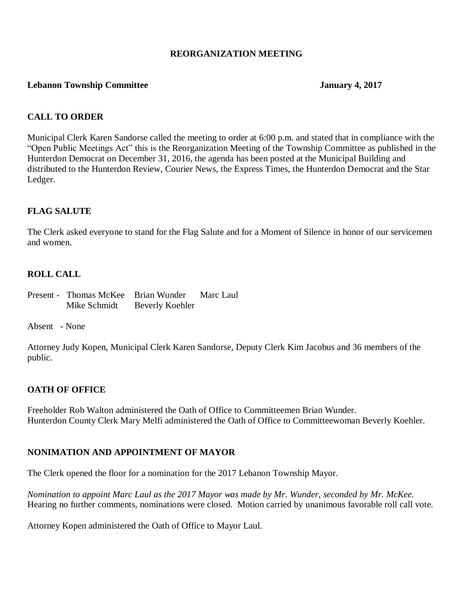#### **REORGANIZATION MEETING**

#### **Lebanon Township Committee January 4, 2017**

## **CALL TO ORDER**

Municipal Clerk Karen Sandorse called the meeting to order at 6:00 p.m. and stated that in compliance with the "Open Public Meetings Act" this is the Reorganization Meeting of the Township Committee as published in the Hunterdon Democrat on December 31, 2016, the agenda has been posted at the Municipal Building and distributed to the Hunterdon Review, Courier News, the Express Times, the Hunterdon Democrat and the Star Ledger.

## **FLAG SALUTE**

The Clerk asked everyone to stand for the Flag Salute and for a Moment of Silence in honor of our servicemen and women.

## **ROLL CALL**

Present - Thomas McKee Brian Wunder Marc Laul Mike Schmidt Beverly Koehler

Absent - None

Attorney Judy Kopen, Municipal Clerk Karen Sandorse, Deputy Clerk Kim Jacobus and 36 members of the public.

#### **OATH OF OFFICE**

Freeholder Rob Walton administered the Oath of Office to Committeemen Brian Wunder. Hunterdon County Clerk Mary Melfi administered the Oath of Office to Committeewoman Beverly Koehler.

#### **NONIMATION AND APPOINTMENT OF MAYOR**

The Clerk opened the floor for a nomination for the 2017 Lebanon Township Mayor.

*Nomination to appoint Marc Laul as the 2017 Mayor was made by Mr. Wunder, seconded by Mr. McKee.* Hearing no further comments, nominations were closed. Motion carried by unanimous favorable roll call vote.

Attorney Kopen administered the Oath of Office to Mayor Laul.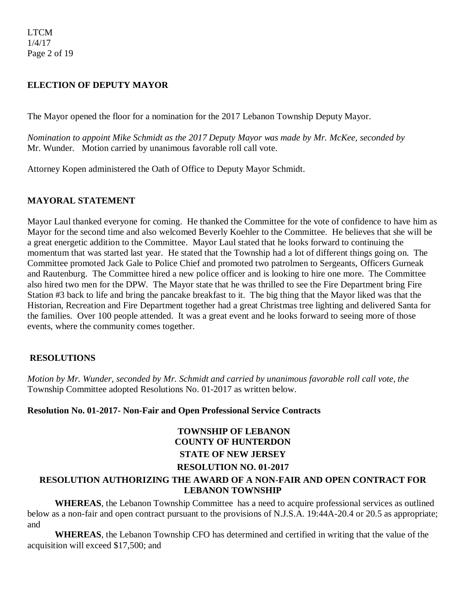LTCM 1/4/17 Page 2 of 19

## **ELECTION OF DEPUTY MAYOR**

The Mayor opened the floor for a nomination for the 2017 Lebanon Township Deputy Mayor.

*Nomination to appoint Mike Schmidt as the 2017 Deputy Mayor was made by Mr. McKee, seconded by* Mr. Wunder. Motion carried by unanimous favorable roll call vote.

Attorney Kopen administered the Oath of Office to Deputy Mayor Schmidt.

## **MAYORAL STATEMENT**

Mayor Laul thanked everyone for coming. He thanked the Committee for the vote of confidence to have him as Mayor for the second time and also welcomed Beverly Koehler to the Committee. He believes that she will be a great energetic addition to the Committee. Mayor Laul stated that he looks forward to continuing the momentum that was started last year. He stated that the Township had a lot of different things going on. The Committee promoted Jack Gale to Police Chief and promoted two patrolmen to Sergeants, Officers Gurneak and Rautenburg. The Committee hired a new police officer and is looking to hire one more. The Committee also hired two men for the DPW. The Mayor state that he was thrilled to see the Fire Department bring Fire Station #3 back to life and bring the pancake breakfast to it. The big thing that the Mayor liked was that the Historian, Recreation and Fire Department together had a great Christmas tree lighting and delivered Santa for the families. Over 100 people attended. It was a great event and he looks forward to seeing more of those events, where the community comes together.

#### **RESOLUTIONS**

*Motion by Mr. Wunder, seconded by Mr. Schmidt and carried by unanimous favorable roll call vote, the* Township Committee adopted Resolutions No. 01-2017 as written below.

#### **Resolution No. 01-2017- Non-Fair and Open Professional Service Contracts**

# **TOWNSHIP OF LEBANON COUNTY OF HUNTERDON STATE OF NEW JERSEY RESOLUTION NO. 01-2017**

## **RESOLUTION AUTHORIZING THE AWARD OF A NON-FAIR AND OPEN CONTRACT FOR LEBANON TOWNSHIP**

**WHEREAS**, the Lebanon Township Committee has a need to acquire professional services as outlined below as a non-fair and open contract pursuant to the provisions of N.J.S.A. 19:44A-20.4 or 20.5 as appropriate; and

**WHEREAS**, the Lebanon Township CFO has determined and certified in writing that the value of the acquisition will exceed \$17,500; and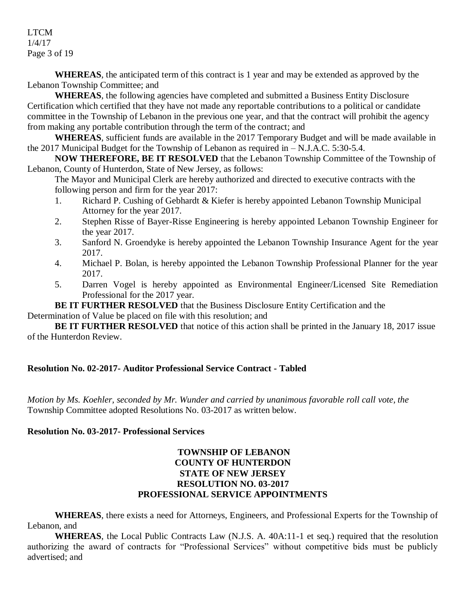LTCM 1/4/17 Page 3 of 19

**WHEREAS**, the anticipated term of this contract is 1 year and may be extended as approved by the Lebanon Township Committee; and

**WHEREAS**, the following agencies have completed and submitted a Business Entity Disclosure Certification which certified that they have not made any reportable contributions to a political or candidate committee in the Township of Lebanon in the previous one year, and that the contract will prohibit the agency from making any portable contribution through the term of the contract; and

**WHEREAS**, sufficient funds are available in the 2017 Temporary Budget and will be made available in the 2017 Municipal Budget for the Township of Lebanon as required in – N.J.A.C. 5:30-5.4.

**NOW THEREFORE, BE IT RESOLVED** that the Lebanon Township Committee of the Township of Lebanon, County of Hunterdon, State of New Jersey, as follows:

The Mayor and Municipal Clerk are hereby authorized and directed to executive contracts with the following person and firm for the year 2017:

- 1. Richard P. Cushing of Gebhardt & Kiefer is hereby appointed Lebanon Township Municipal Attorney for the year 2017.
- 2. Stephen Risse of Bayer-Risse Engineering is hereby appointed Lebanon Township Engineer for the year 2017.
- 3. Sanford N. Groendyke is hereby appointed the Lebanon Township Insurance Agent for the year 2017.
- 4. Michael P. Bolan, is hereby appointed the Lebanon Township Professional Planner for the year 2017.
- 5. Darren Vogel is hereby appointed as Environmental Engineer/Licensed Site Remediation Professional for the 2017 year.

**BE IT FURTHER RESOLVED** that the Business Disclosure Entity Certification and the Determination of Value be placed on file with this resolution; and

**BE IT FURTHER RESOLVED** that notice of this action shall be printed in the January 18, 2017 issue of the Hunterdon Review.

## **Resolution No. 02-2017- Auditor Professional Service Contract - Tabled**

*Motion by Ms. Koehler, seconded by Mr. Wunder and carried by unanimous favorable roll call vote, the* Township Committee adopted Resolutions No. 03-2017 as written below.

## **Resolution No. 03-2017- Professional Services**

## **TOWNSHIP OF LEBANON COUNTY OF HUNTERDON STATE OF NEW JERSEY RESOLUTION NO. 03-2017 PROFESSIONAL SERVICE APPOINTMENTS**

**WHEREAS**, there exists a need for Attorneys, Engineers, and Professional Experts for the Township of Lebanon, and

**WHEREAS**, the Local Public Contracts Law (N.J.S. A. 40A:11-1 et seq.) required that the resolution authorizing the award of contracts for "Professional Services" without competitive bids must be publicly advertised; and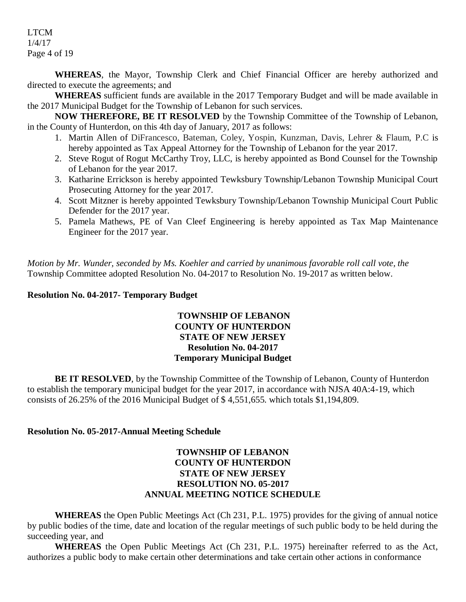LTCM 1/4/17 Page 4 of 19

**WHEREAS**, the Mayor, Township Clerk and Chief Financial Officer are hereby authorized and directed to execute the agreements; and

**WHEREAS** sufficient funds are available in the 2017 Temporary Budget and will be made available in the 2017 Municipal Budget for the Township of Lebanon for such services.

**NOW THEREFORE, BE IT RESOLVED** by the Township Committee of the Township of Lebanon, in the County of Hunterdon, on this 4th day of January, 2017 as follows:

- 1. Martin Allen of DiFrancesco, Bateman, Coley, Yospin, Kunzman, Davis, Lehrer & Flaum, P.C is hereby appointed as Tax Appeal Attorney for the Township of Lebanon for the year 2017.
- 2. Steve Rogut of Rogut McCarthy Troy, LLC, is hereby appointed as Bond Counsel for the Township of Lebanon for the year 2017.
- 3. Katharine Errickson is hereby appointed Tewksbury Township/Lebanon Township Municipal Court Prosecuting Attorney for the year 2017.
- 4. Scott Mitzner is hereby appointed Tewksbury Township/Lebanon Township Municipal Court Public Defender for the 2017 year.
- 5. Pamela Mathews, PE of Van Cleef Engineering is hereby appointed as Tax Map Maintenance Engineer for the 2017 year.

*Motion by Mr. Wunder, seconded by Ms. Koehler and carried by unanimous favorable roll call vote, the* Township Committee adopted Resolution No. 04-2017 to Resolution No. 19-2017 as written below.

## **Resolution No. 04-2017- Temporary Budget**

## **TOWNSHIP OF LEBANON COUNTY OF HUNTERDON STATE OF NEW JERSEY Resolution No. 04-2017 Temporary Municipal Budget**

**BE IT RESOLVED**, by the Township Committee of the Township of Lebanon, County of Hunterdon to establish the temporary municipal budget for the year 2017, in accordance with NJSA 40A:4-19, which consists of 26.25% of the 2016 Municipal Budget of \$ 4,551,655. which totals \$1,194,809.

## **Resolution No. 05-2017-Annual Meeting Schedule**

## **TOWNSHIP OF LEBANON COUNTY OF HUNTERDON STATE OF NEW JERSEY RESOLUTION NO. 05-2017 ANNUAL MEETING NOTICE SCHEDULE**

**WHEREAS** the Open Public Meetings Act (Ch 231, P.L. 1975) provides for the giving of annual notice by public bodies of the time, date and location of the regular meetings of such public body to be held during the succeeding year, and

**WHEREAS** the Open Public Meetings Act (Ch 231, P.L. 1975) hereinafter referred to as the Act, authorizes a public body to make certain other determinations and take certain other actions in conformance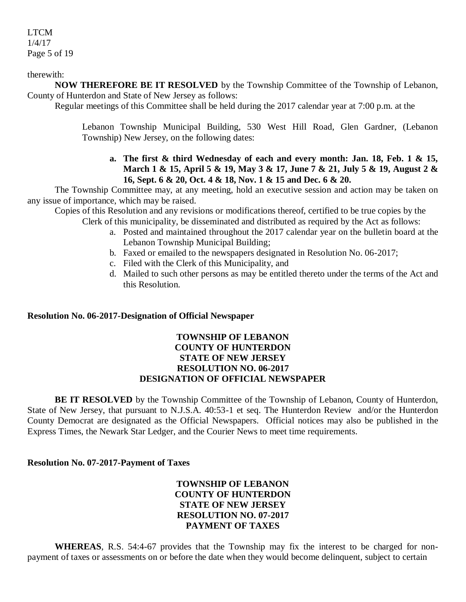## LTCM 1/4/17 Page 5 of 19

therewith:

**NOW THEREFORE BE IT RESOLVED** by the Township Committee of the Township of Lebanon, County of Hunterdon and State of New Jersey as follows:

Regular meetings of this Committee shall be held during the 2017 calendar year at 7:00 p.m. at the

Lebanon Township Municipal Building, 530 West Hill Road, Glen Gardner, (Lebanon Township) New Jersey, on the following dates:

### **a. The first & third Wednesday of each and every month: Jan. 18, Feb. 1 & 15, March 1 & 15, April 5 & 19, May 3 & 17, June 7 & 21, July 5 & 19, August 2 & 16, Sept. 6 & 20, Oct. 4 & 18, Nov. 1 & 15 and Dec. 6 & 20.**

The Township Committee may, at any meeting, hold an executive session and action may be taken on any issue of importance, which may be raised.

Copies of this Resolution and any revisions or modifications thereof, certified to be true copies by the Clerk of this municipality, be disseminated and distributed as required by the Act as follows:

- a. Posted and maintained throughout the 2017 calendar year on the bulletin board at the Lebanon Township Municipal Building;
- b. Faxed or emailed to the newspapers designated in Resolution No. 06-2017;
- c. Filed with the Clerk of this Municipality, and
- d. Mailed to such other persons as may be entitled thereto under the terms of the Act and this Resolution.

#### **Resolution No. 06-2017-Designation of Official Newspaper**

## **TOWNSHIP OF LEBANON COUNTY OF HUNTERDON STATE OF NEW JERSEY RESOLUTION NO. 06-2017 DESIGNATION OF OFFICIAL NEWSPAPER**

**BE IT RESOLVED** by the Township Committee of the Township of Lebanon, County of Hunterdon, State of New Jersey, that pursuant to N.J.S.A. 40:53-1 et seq. The Hunterdon Review and/or the Hunterdon County Democrat are designated as the Official Newspapers. Official notices may also be published in the Express Times, the Newark Star Ledger, and the Courier News to meet time requirements.

#### **Resolution No. 07-2017-Payment of Taxes**

## **TOWNSHIP OF LEBANON COUNTY OF HUNTERDON STATE OF NEW JERSEY RESOLUTION NO. 07-2017 PAYMENT OF TAXES**

**WHEREAS**, R.S. 54:4-67 provides that the Township may fix the interest to be charged for nonpayment of taxes or assessments on or before the date when they would become delinquent, subject to certain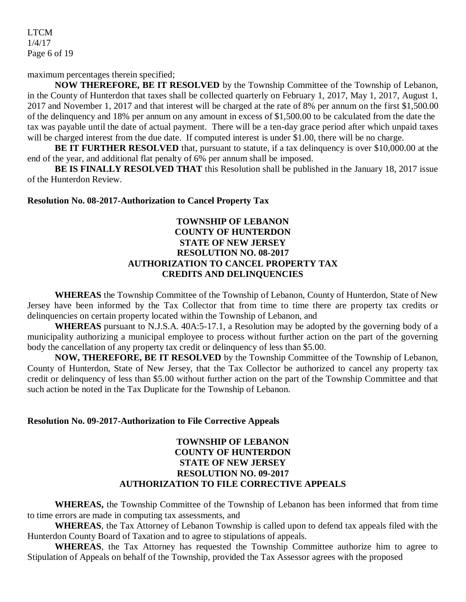LTCM 1/4/17 Page 6 of 19

maximum percentages therein specified;

**NOW THEREFORE, BE IT RESOLVED** by the Township Committee of the Township of Lebanon, in the County of Hunterdon that taxes shall be collected quarterly on February 1, 2017, May 1, 2017, August 1, 2017 and November 1, 2017 and that interest will be charged at the rate of 8% per annum on the first \$1,500.00 of the delinquency and 18% per annum on any amount in excess of \$1,500.00 to be calculated from the date the tax was payable until the date of actual payment. There will be a ten-day grace period after which unpaid taxes will be charged interest from the due date. If computed interest is under \$1.00, there will be no charge.

**BE IT FURTHER RESOLVED** that, pursuant to statute, if a tax delinquency is over \$10,000.00 at the end of the year, and additional flat penalty of 6% per annum shall be imposed.

**BE IS FINALLY RESOLVED THAT** this Resolution shall be published in the January 18, 2017 issue of the Hunterdon Review.

#### **Resolution No. 08-2017-Authorization to Cancel Property Tax**

## **TOWNSHIP OF LEBANON COUNTY OF HUNTERDON STATE OF NEW JERSEY RESOLUTION NO. 08-2017 AUTHORIZATION TO CANCEL PROPERTY TAX CREDITS AND DELINQUENCIES**

**WHEREAS** the Township Committee of the Township of Lebanon, County of Hunterdon, State of New Jersey have been informed by the Tax Collector that from time to time there are property tax credits or delinquencies on certain property located within the Township of Lebanon, and

**WHEREAS** pursuant to N.J.S.A. 40A:5-17.1, a Resolution may be adopted by the governing body of a municipality authorizing a municipal employee to process without further action on the part of the governing body the cancellation of any property tax credit or delinquency of less than \$5.00.

**NOW, THEREFORE, BE IT RESOLVED** by the Township Committee of the Township of Lebanon, County of Hunterdon, State of New Jersey, that the Tax Collector be authorized to cancel any property tax credit or delinquency of less than \$5.00 without further action on the part of the Township Committee and that such action be noted in the Tax Duplicate for the Township of Lebanon.

#### **Resolution No. 09-2017-Authorization to File Corrective Appeals**

## **TOWNSHIP OF LEBANON COUNTY OF HUNTERDON STATE OF NEW JERSEY RESOLUTION NO. 09-2017 AUTHORIZATION TO FILE CORRECTIVE APPEALS**

**WHEREAS,** the Township Committee of the Township of Lebanon has been informed that from time to time errors are made in computing tax assessments, and

**WHEREAS**, the Tax Attorney of Lebanon Township is called upon to defend tax appeals filed with the Hunterdon County Board of Taxation and to agree to stipulations of appeals.

**WHEREAS**, the Tax Attorney has requested the Township Committee authorize him to agree to Stipulation of Appeals on behalf of the Township, provided the Tax Assessor agrees with the proposed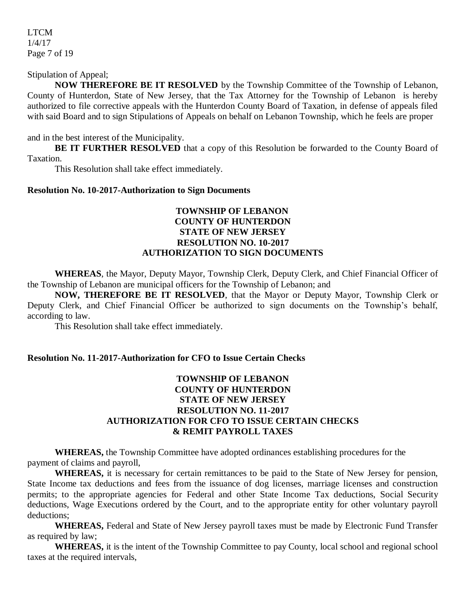LTCM 1/4/17 Page 7 of 19

## Stipulation of Appeal;

**NOW THEREFORE BE IT RESOLVED** by the Township Committee of the Township of Lebanon, County of Hunterdon, State of New Jersey, that the Tax Attorney for the Township of Lebanon is hereby authorized to file corrective appeals with the Hunterdon County Board of Taxation, in defense of appeals filed with said Board and to sign Stipulations of Appeals on behalf on Lebanon Township, which he feels are proper

and in the best interest of the Municipality.

BE IT FURTHER RESOLVED that a copy of this Resolution be forwarded to the County Board of Taxation.

This Resolution shall take effect immediately.

#### **Resolution No. 10-2017-Authorization to Sign Documents**

## **TOWNSHIP OF LEBANON COUNTY OF HUNTERDON STATE OF NEW JERSEY RESOLUTION NO. 10-2017 AUTHORIZATION TO SIGN DOCUMENTS**

**WHEREAS**, the Mayor, Deputy Mayor, Township Clerk, Deputy Clerk, and Chief Financial Officer of the Township of Lebanon are municipal officers for the Township of Lebanon; and

**NOW, THEREFORE BE IT RESOLVED**, that the Mayor or Deputy Mayor, Township Clerk or Deputy Clerk, and Chief Financial Officer be authorized to sign documents on the Township's behalf, according to law.

This Resolution shall take effect immediately.

#### **Resolution No. 11-2017-Authorization for CFO to Issue Certain Checks**

## **TOWNSHIP OF LEBANON COUNTY OF HUNTERDON STATE OF NEW JERSEY RESOLUTION NO. 11-2017 AUTHORIZATION FOR CFO TO ISSUE CERTAIN CHECKS & REMIT PAYROLL TAXES**

**WHEREAS,** the Township Committee have adopted ordinances establishing procedures for the payment of claims and payroll,

**WHEREAS,** it is necessary for certain remittances to be paid to the State of New Jersey for pension, State Income tax deductions and fees from the issuance of dog licenses, marriage licenses and construction permits; to the appropriate agencies for Federal and other State Income Tax deductions, Social Security deductions, Wage Executions ordered by the Court, and to the appropriate entity for other voluntary payroll deductions;

**WHEREAS,** Federal and State of New Jersey payroll taxes must be made by Electronic Fund Transfer as required by law;

**WHEREAS,** it is the intent of the Township Committee to pay County, local school and regional school taxes at the required intervals,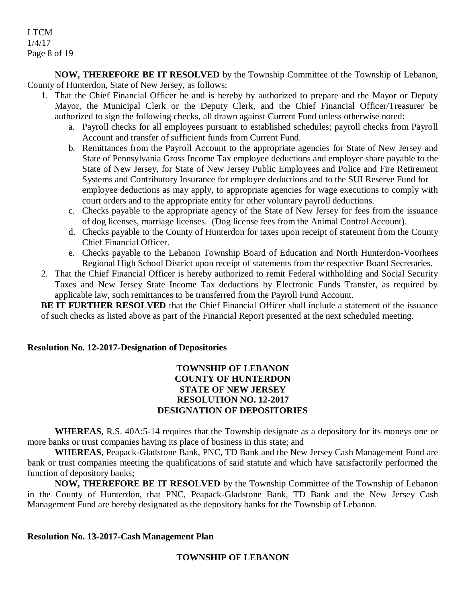## LTCM 1/4/17 Page 8 of 19

**NOW, THEREFORE BE IT RESOLVED** by the Township Committee of the Township of Lebanon, County of Hunterdon, State of New Jersey, as follows:

- 1. That the Chief Financial Officer be and is hereby by authorized to prepare and the Mayor or Deputy Mayor, the Municipal Clerk or the Deputy Clerk, and the Chief Financial Officer/Treasurer be authorized to sign the following checks, all drawn against Current Fund unless otherwise noted:
	- a. Payroll checks for all employees pursuant to established schedules; payroll checks from Payroll Account and transfer of sufficient funds from Current Fund.
	- b. Remittances from the Payroll Account to the appropriate agencies for State of New Jersey and State of Pennsylvania Gross Income Tax employee deductions and employer share payable to the State of New Jersey, for State of New Jersey Public Employees and Police and Fire Retirement Systems and Contributory Insurance for employee deductions and to the SUI Reserve Fund for employee deductions as may apply, to appropriate agencies for wage executions to comply with court orders and to the appropriate entity for other voluntary payroll deductions.
	- c. Checks payable to the appropriate agency of the State of New Jersey for fees from the issuance of dog licenses, marriage licenses. (Dog license fees from the Animal Control Account).
	- d. Checks payable to the County of Hunterdon for taxes upon receipt of statement from the County Chief Financial Officer.
	- e. Checks payable to the Lebanon Township Board of Education and North Hunterdon-Voorhees Regional High School District upon receipt of statements from the respective Board Secretaries.
- 2. That the Chief Financial Officer is hereby authorized to remit Federal withholding and Social Security Taxes and New Jersey State Income Tax deductions by Electronic Funds Transfer, as required by applicable law, such remittances to be transferred from the Payroll Fund Account.

**BE IT FURTHER RESOLVED** that the Chief Financial Officer shall include a statement of the issuance of such checks as listed above as part of the Financial Report presented at the next scheduled meeting.

## **Resolution No. 12-2017-Designation of Depositories**

## **TOWNSHIP OF LEBANON COUNTY OF HUNTERDON STATE OF NEW JERSEY RESOLUTION NO. 12-2017 DESIGNATION OF DEPOSITORIES**

**WHEREAS,** R.S. 40A:5-14 requires that the Township designate as a depository for its moneys one or more banks or trust companies having its place of business in this state; and

**WHEREAS**, Peapack-Gladstone Bank, PNC, TD Bank and the New Jersey Cash Management Fund are bank or trust companies meeting the qualifications of said statute and which have satisfactorily performed the function of depository banks;

**NOW, THEREFORE BE IT RESOLVED** by the Township Committee of the Township of Lebanon in the County of Hunterdon, that PNC, Peapack-Gladstone Bank, TD Bank and the New Jersey Cash Management Fund are hereby designated as the depository banks for the Township of Lebanon.

#### **Resolution No. 13-2017-Cash Management Plan**

## **TOWNSHIP OF LEBANON**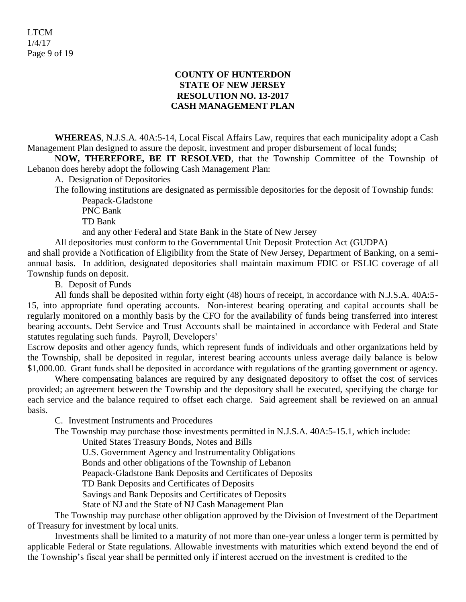#### **COUNTY OF HUNTERDON STATE OF NEW JERSEY RESOLUTION NO. 13-2017 CASH MANAGEMENT PLAN**

**WHEREAS**, N.J.S.A. 40A:5-14, Local Fiscal Affairs Law, requires that each municipality adopt a Cash Management Plan designed to assure the deposit, investment and proper disbursement of local funds;

**NOW, THEREFORE, BE IT RESOLVED**, that the Township Committee of the Township of Lebanon does hereby adopt the following Cash Management Plan:

A. Designation of Depositories

The following institutions are designated as permissible depositories for the deposit of Township funds: Peapack-Gladstone

PNC Bank

TD Bank

and any other Federal and State Bank in the State of New Jersey

All depositories must conform to the Governmental Unit Deposit Protection Act (GUDPA)

and shall provide a Notification of Eligibility from the State of New Jersey, Department of Banking, on a semiannual basis. In addition, designated depositories shall maintain maximum FDIC or FSLIC coverage of all Township funds on deposit.

B. Deposit of Funds

All funds shall be deposited within forty eight (48) hours of receipt, in accordance with N.J.S.A. 40A:5- 15, into appropriate fund operating accounts. Non-interest bearing operating and capital accounts shall be regularly monitored on a monthly basis by the CFO for the availability of funds being transferred into interest bearing accounts. Debt Service and Trust Accounts shall be maintained in accordance with Federal and State statutes regulating such funds. Payroll, Developers'

Escrow deposits and other agency funds, which represent funds of individuals and other organizations held by the Township, shall be deposited in regular, interest bearing accounts unless average daily balance is below \$1,000.00. Grant funds shall be deposited in accordance with regulations of the granting government or agency.

Where compensating balances are required by any designated depository to offset the cost of services provided; an agreement between the Township and the depository shall be executed, specifying the charge for each service and the balance required to offset each charge. Said agreement shall be reviewed on an annual basis.

C. Investment Instruments and Procedures

The Township may purchase those investments permitted in N.J.S.A. 40A:5-15.1, which include:

United States Treasury Bonds, Notes and Bills

U.S. Government Agency and Instrumentality Obligations

Bonds and other obligations of the Township of Lebanon

Peapack-Gladstone Bank Deposits and Certificates of Deposits

TD Bank Deposits and Certificates of Deposits

Savings and Bank Deposits and Certificates of Deposits

State of NJ and the State of NJ Cash Management Plan

The Township may purchase other obligation approved by the Division of Investment of the Department of Treasury for investment by local units.

Investments shall be limited to a maturity of not more than one-year unless a longer term is permitted by applicable Federal or State regulations. Allowable investments with maturities which extend beyond the end of the Township's fiscal year shall be permitted only if interest accrued on the investment is credited to the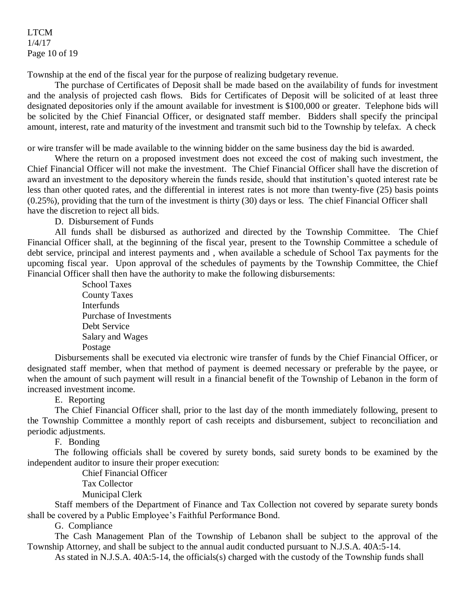#### LTCM 1/4/17 Page 10 of 19

Township at the end of the fiscal year for the purpose of realizing budgetary revenue.

The purchase of Certificates of Deposit shall be made based on the availability of funds for investment and the analysis of projected cash flows. Bids for Certificates of Deposit will be solicited of at least three designated depositories only if the amount available for investment is \$100,000 or greater. Telephone bids will be solicited by the Chief Financial Officer, or designated staff member. Bidders shall specify the principal amount, interest, rate and maturity of the investment and transmit such bid to the Township by telefax. A check

or wire transfer will be made available to the winning bidder on the same business day the bid is awarded.

Where the return on a proposed investment does not exceed the cost of making such investment, the Chief Financial Officer will not make the investment. The Chief Financial Officer shall have the discretion of award an investment to the depository wherein the funds reside, should that institution's quoted interest rate be less than other quoted rates, and the differential in interest rates is not more than twenty-five (25) basis points (0.25%), providing that the turn of the investment is thirty (30) days or less. The chief Financial Officer shall have the discretion to reject all bids.

D. Disbursement of Funds

All funds shall be disbursed as authorized and directed by the Township Committee. The Chief Financial Officer shall, at the beginning of the fiscal year, present to the Township Committee a schedule of debt service, principal and interest payments and , when available a schedule of School Tax payments for the upcoming fiscal year. Upon approval of the schedules of payments by the Township Committee, the Chief Financial Officer shall then have the authority to make the following disbursements:

> School Taxes County Taxes **Interfunds** Purchase of Investments Debt Service Salary and Wages Postage

Disbursements shall be executed via electronic wire transfer of funds by the Chief Financial Officer, or designated staff member, when that method of payment is deemed necessary or preferable by the payee, or when the amount of such payment will result in a financial benefit of the Township of Lebanon in the form of increased investment income.

E. Reporting

The Chief Financial Officer shall, prior to the last day of the month immediately following, present to the Township Committee a monthly report of cash receipts and disbursement, subject to reconciliation and periodic adjustments.

F. Bonding

The following officials shall be covered by surety bonds, said surety bonds to be examined by the independent auditor to insure their proper execution:

Chief Financial Officer

Tax Collector

Municipal Clerk

Staff members of the Department of Finance and Tax Collection not covered by separate surety bonds shall be covered by a Public Employee's Faithful Performance Bond.

G. Compliance

The Cash Management Plan of the Township of Lebanon shall be subject to the approval of the Township Attorney, and shall be subject to the annual audit conducted pursuant to N.J.S.A. 40A:5-14.

As stated in N.J.S.A. 40A:5-14, the officials(s) charged with the custody of the Township funds shall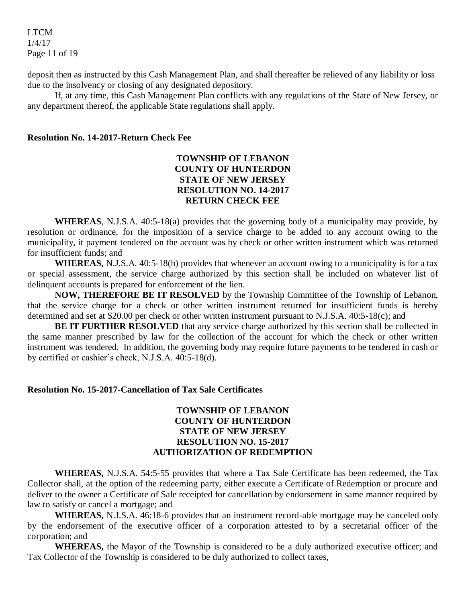LTCM 1/4/17 Page 11 of 19

deposit then as instructed by this Cash Management Plan, and shall thereafter be relieved of any liability or loss due to the insolvency or closing of any designated depository.

If, at any time, this Cash Management Plan conflicts with any regulations of the State of New Jersey, or any department thereof, the applicable State regulations shall apply.

#### **Resolution No. 14-2017-Return Check Fee**

#### **TOWNSHIP OF LEBANON COUNTY OF HUNTERDON STATE OF NEW JERSEY RESOLUTION NO. 14-2017 RETURN CHECK FEE**

**WHEREAS**, N.J.S.A. 40:5-18(a) provides that the governing body of a municipality may provide, by resolution or ordinance, for the imposition of a service charge to be added to any account owing to the municipality, it payment tendered on the account was by check or other written instrument which was returned for insufficient funds; and

**WHEREAS,** N.J.S.A. 40:5-18(b) provides that whenever an account owing to a municipality is for a tax or special assessment, the service charge authorized by this section shall be included on whatever list of delinquent accounts is prepared for enforcement of the lien.

**NOW, THEREFORE BE IT RESOLVED** by the Township Committee of the Township of Lebanon, that the service charge for a check or other written instrument returned for insufficient funds is hereby determined and set at \$20.00 per check or other written instrument pursuant to N.J.S.A. 40:5-18(c); and

**BE IT FURTHER RESOLVED** that any service charge authorized by this section shall be collected in the same manner prescribed by law for the collection of the account for which the check or other written instrument was tendered. In addition, the governing body may require future payments to be tendered in cash or by certified or cashier's check, N.J.S.A. 40:5-18(d).

#### **Resolution No. 15-2017-Cancellation of Tax Sale Certificates**

## **TOWNSHIP OF LEBANON COUNTY OF HUNTERDON STATE OF NEW JERSEY RESOLUTION NO. 15-2017 AUTHORIZATION OF REDEMPTION**

**WHEREAS,** N.J.S.A. 54:5-55 provides that where a Tax Sale Certificate has been redeemed, the Tax Collector shall, at the option of the redeeming party, either execute a Certificate of Redemption or procure and deliver to the owner a Certificate of Sale receipted for cancellation by endorsement in same manner required by law to satisfy or cancel a mortgage; and

**WHEREAS,** N.J.S.A. 46:18-6 provides that an instrument record-able mortgage may be canceled only by the endorsement of the executive officer of a corporation attested to by a secretarial officer of the corporation; and

**WHEREAS,** the Mayor of the Township is considered to be a duly authorized executive officer; and Tax Collector of the Township is considered to be duly authorized to collect taxes,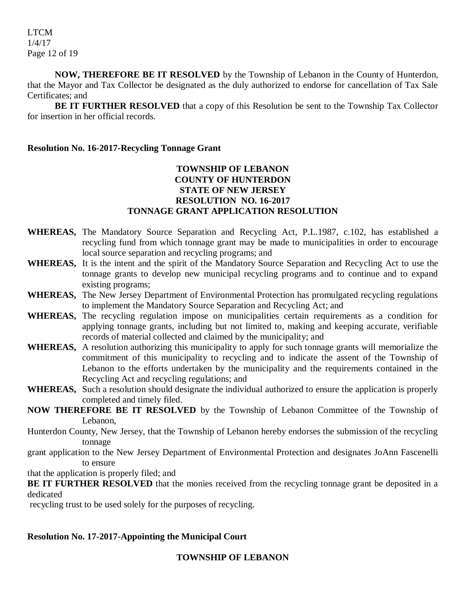**NOW, THEREFORE BE IT RESOLVED** by the Township of Lebanon in the County of Hunterdon, that the Mayor and Tax Collector be designated as the duly authorized to endorse for cancellation of Tax Sale Certificates; and

**BE IT FURTHER RESOLVED** that a copy of this Resolution be sent to the Township Tax Collector for insertion in her official records.

#### **Resolution No. 16-2017-Recycling Tonnage Grant**

## **TOWNSHIP OF LEBANON COUNTY OF HUNTERDON STATE OF NEW JERSEY RESOLUTION NO. 16-2017 TONNAGE GRANT APPLICATION RESOLUTION**

- **WHEREAS,** The Mandatory Source Separation and Recycling Act, P.L.1987, c.102, has established a recycling fund from which tonnage grant may be made to municipalities in order to encourage local source separation and recycling programs; and
- **WHEREAS,** It is the intent and the spirit of the Mandatory Source Separation and Recycling Act to use the tonnage grants to develop new municipal recycling programs and to continue and to expand existing programs;
- **WHEREAS,** The New Jersey Department of Environmental Protection has promulgated recycling regulations to implement the Mandatory Source Separation and Recycling Act; and
- **WHEREAS,** The recycling regulation impose on municipalities certain requirements as a condition for applying tonnage grants, including but not limited to, making and keeping accurate, verifiable records of material collected and claimed by the municipality; and
- **WHEREAS,** A resolution authorizing this municipality to apply for such tonnage grants will memorialize the commitment of this municipality to recycling and to indicate the assent of the Township of Lebanon to the efforts undertaken by the municipality and the requirements contained in the Recycling Act and recycling regulations; and
- **WHEREAS,** Such a resolution should designate the individual authorized to ensure the application is properly completed and timely filed.
- **NOW THEREFORE BE IT RESOLVED** by the Township of Lebanon Committee of the Township of Lebanon,

Hunterdon County, New Jersey, that the Township of Lebanon hereby endorses the submission of the recycling tonnage

grant application to the New Jersey Department of Environmental Protection and designates JoAnn Fascenelli to ensure

that the application is properly filed; and

**BE IT FURTHER RESOLVED** that the monies received from the recycling tonnage grant be deposited in a dedicated

recycling trust to be used solely for the purposes of recycling.

## **Resolution No. 17-2017-Appointing the Municipal Court**

## **TOWNSHIP OF LEBANON**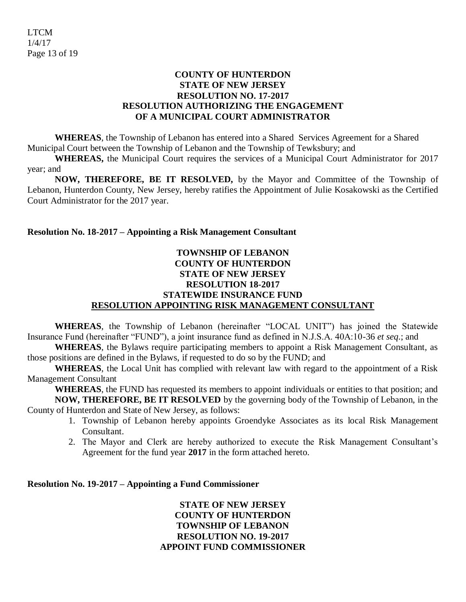## **COUNTY OF HUNTERDON STATE OF NEW JERSEY RESOLUTION NO. 17-2017 RESOLUTION AUTHORIZING THE ENGAGEMENT OF A MUNICIPAL COURT ADMINISTRATOR**

**WHEREAS**, the Township of Lebanon has entered into a Shared Services Agreement for a Shared Municipal Court between the Township of Lebanon and the Township of Tewksbury; and

**WHEREAS,** the Municipal Court requires the services of a Municipal Court Administrator for 2017 year; and

**NOW, THEREFORE, BE IT RESOLVED,** by the Mayor and Committee of the Township of Lebanon, Hunterdon County, New Jersey, hereby ratifies the Appointment of Julie Kosakowski as the Certified Court Administrator for the 2017 year.

## **Resolution No. 18-2017 – Appointing a Risk Management Consultant**

## **TOWNSHIP OF LEBANON COUNTY OF HUNTERDON STATE OF NEW JERSEY RESOLUTION 18-2017 STATEWIDE INSURANCE FUND RESOLUTION APPOINTING RISK MANAGEMENT CONSULTANT**

**WHEREAS**, the Township of Lebanon (hereinafter "LOCAL UNIT") has joined the Statewide Insurance Fund (hereinafter "FUND"), a joint insurance fund as defined in N.J.S.A. 40A:10-36 *et seq*.; and

**WHEREAS**, the Bylaws require participating members to appoint a Risk Management Consultant, as those positions are defined in the Bylaws, if requested to do so by the FUND; and

**WHEREAS**, the Local Unit has complied with relevant law with regard to the appointment of a Risk Management Consultant

**WHEREAS**, the FUND has requested its members to appoint individuals or entities to that position; and **NOW, THEREFORE, BE IT RESOLVED** by the governing body of the Township of Lebanon, in the County of Hunterdon and State of New Jersey, as follows:

- 1. Township of Lebanon hereby appoints Groendyke Associates as its local Risk Management Consultant.
- 2. The Mayor and Clerk are hereby authorized to execute the Risk Management Consultant's Agreement for the fund year **2017** in the form attached hereto.

#### **Resolution No. 19-2017 – Appointing a Fund Commissioner**

**STATE OF NEW JERSEY COUNTY OF HUNTERDON TOWNSHIP OF LEBANON RESOLUTION NO. 19-2017 APPOINT FUND COMMISSIONER**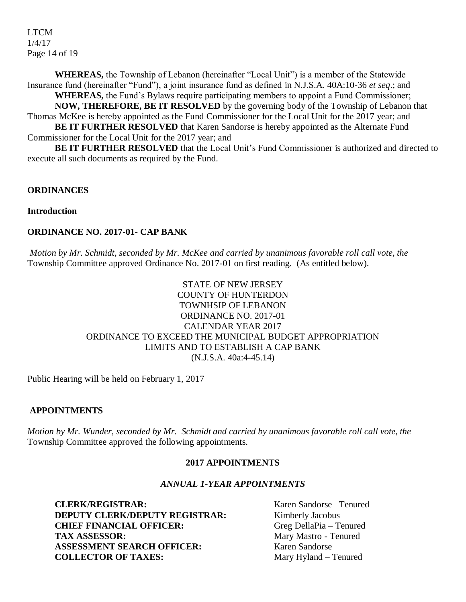LTCM 1/4/17 Page 14 of 19

**WHEREAS,** the Township of Lebanon (hereinafter "Local Unit") is a member of the Statewide Insurance fund (hereinafter "Fund"), a joint insurance fund as defined in N.J.S.A. 40A:10-36 *et seq*.; and

**WHEREAS,** the Fund's Bylaws require participating members to appoint a Fund Commissioner; **NOW, THEREFORE, BE IT RESOLVED** by the governing body of the Township of Lebanon that Thomas McKee is hereby appointed as the Fund Commissioner for the Local Unit for the 2017 year; and

**BE IT FURTHER RESOLVED** that Karen Sandorse is hereby appointed as the Alternate Fund Commissioner for the Local Unit for the 2017 year; and

**BE IT FURTHER RESOLVED** that the Local Unit's Fund Commissioner is authorized and directed to execute all such documents as required by the Fund.

## **ORDINANCES**

## **Introduction**

## **ORDINANCE NO. 2017-01- CAP BANK**

*Motion by Mr. Schmidt, seconded by Mr. McKee and carried by unanimous favorable roll call vote, the* Township Committee approved Ordinance No. 2017-01 on first reading. (As entitled below).

## STATE OF NEW JERSEY COUNTY OF HUNTERDON TOWNHSIP OF LEBANON ORDINANCE NO. 2017-01 CALENDAR YEAR 2017 ORDINANCE TO EXCEED THE MUNICIPAL BUDGET APPROPRIATION LIMITS AND TO ESTABLISH A CAP BANK (N.J.S.A. 40a:4-45.14)

Public Hearing will be held on February 1, 2017

## **APPOINTMENTS**

*Motion by Mr. Wunder, seconded by Mr. Schmidt and carried by unanimous favorable roll call vote, the* Township Committee approved the following appointments.

#### **2017 APPOINTMENTS**

#### *ANNUAL 1-YEAR APPOINTMENTS*

**CLERK/REGISTRAR:** Karen Sandorse –Tenured **DEPUTY CLERK/DEPUTY REGISTRAR:** Kimberly Jacobus<br> **CHIEF FINANCIAL OFFICER:** Greg DellaPia – Tenured **CHIEF FINANCIAL OFFICER: TAX ASSESSOR:** Mary Mastro - Tenured **ASSESSMENT SEARCH OFFICER:** Karen Sandorse **COLLECTOR OF TAXES:** Mary Hyland – Tenured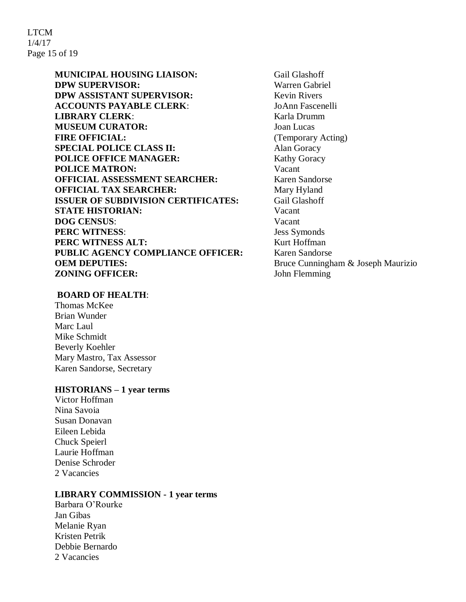LTCM 1/4/17 Page 15 of 19

> **MUNICIPAL HOUSING LIAISON:** Gail Glashoff **DPW SUPERVISOR:** Warren Gabriel **DPW ASSISTANT SUPERVISOR:** Kevin Rivers **ACCOUNTS PAYABLE CLERK**: JoAnn Fascenelli **LIBRARY CLERK:** Karla Drumm **MUSEUM CURATOR:** Joan Lucas **FIRE OFFICIAL:** (Temporary Acting) **SPECIAL POLICE CLASS II:** Alan Goracy **POLICE OFFICE MANAGER:** Kathy Goracy **POLICE MATRON:** Vacant **OFFICIAL ASSESSMENT SEARCHER:** Karen Sandorse **OFFICIAL TAX SEARCHER:** Mary Hyland **ISSUER OF SUBDIVISION CERTIFICATES:** Gail Glashoff **STATE HISTORIAN:** Vacant **DOG CENSUS**: Vacant **PERC WITNESS:** Jess Symonds **PERC WITNESS ALT:** Kurt Hoffman **PUBLIC AGENCY COMPLIANCE OFFICER:** Karen Sandorse **OEM DEPUTIES:** Bruce Cunningham & Joseph Maurizio **ZONING OFFICER:** John Flemming

#### **BOARD OF HEALTH**:

Thomas McKee Brian Wunder Marc Laul Mike Schmidt Beverly Koehler Mary Mastro, Tax Assessor Karen Sandorse, Secretary

#### **HISTORIANS – 1 year terms**

Victor Hoffman Nina Savoia Susan Donavan Eileen Lebida Chuck Speierl Laurie Hoffman Denise Schroder 2 Vacancies

#### **LIBRARY COMMISSION - 1 year terms**

Barbara O'Rourke Jan Gibas Melanie Ryan Kristen Petrik Debbie Bernardo 2 Vacancies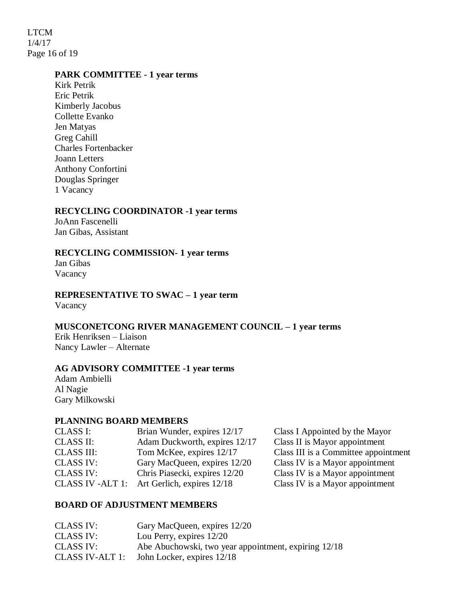LTCM 1/4/17 Page 16 of 19

#### **PARK COMMITTEE - 1 year terms**

Kirk Petrik Eric Petrik Kimberly Jacobus Collette Evanko Jen Matyas Greg Cahill Charles Fortenbacker Joann Letters Anthony Confortini Douglas Springer 1 Vacancy

## **RECYCLING COORDINATOR -1 year terms**

JoAnn Fascenelli Jan Gibas, Assistant

#### **RECYCLING COMMISSION- 1 year terms**

Jan Gibas Vacancy

# **REPRESENTATIVE TO SWAC – 1 year term**

Vacancy

## **MUSCONETCONG RIVER MANAGEMENT COUNCIL – 1 year terms**

Erik Henriksen – Liaison Nancy Lawler – Alternate

#### **AG ADVISORY COMMITTEE -1 year terms**

Adam Ambielli Al Nagie Gary Milkowski

#### **PLANNING BOARD MEMBERS**

| CLASS I:          | Brian Wunder, expires 12/17                 | Class I Appointed by the Mayor       |
|-------------------|---------------------------------------------|--------------------------------------|
| <b>CLASS II:</b>  | Adam Duckworth, expires 12/17               | Class II is Mayor appointment        |
| <b>CLASS III:</b> | Tom McKee, expires 12/17                    | Class III is a Committee appointment |
| <b>CLASS IV:</b>  | Gary MacQueen, expires 12/20                | Class IV is a Mayor appointment      |
| <b>CLASS IV:</b>  | Chris Piasecki, expires 12/20               | Class IV is a Mayor appointment      |
|                   | CLASS IV -ALT 1: Art Gerlich, expires 12/18 | Class IV is a Mayor appointment      |
|                   |                                             |                                      |

#### **BOARD OF ADJUSTMENT MEMBERS**

| <b>CLASS IV:</b> | Gary MacQueen, expires 12/20                         |
|------------------|------------------------------------------------------|
| <b>CLASS IV:</b> | Lou Perry, expires $12/20$                           |
| <b>CLASS IV:</b> | Abe Abuchowski, two year appointment, expiring 12/18 |
| CLASS IV-ALT 1:  | John Locker, expires 12/18                           |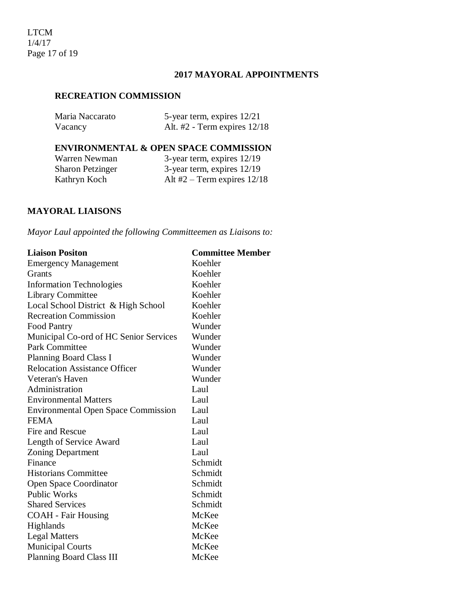## **2017 MAYORAL APPOINTMENTS**

#### **RECREATION COMMISSION**

| Maria Naccarato | 5-year term, expires 12/21       |
|-----------------|----------------------------------|
| Vacancy         | Alt. $#2$ - Term expires $12/18$ |

## **ENVIRONMENTAL & OPEN SPACE COMMISSION**

Kathryn Koch Alt #2 – Term expires 12/18

Warren Newman 3-year term, expires 12/19<br>Sharon Petzinger 3-year term, expires 12/19 3-year term, expires 12/19

## **MAYORAL LIAISONS**

*Mayor Laul appointed the following Committeemen as Liaisons to:*

| <b>Liaison Positon</b>                     | <b>Committee Member</b> |
|--------------------------------------------|-------------------------|
| <b>Emergency Management</b>                | Koehler                 |
| Grants                                     | Koehler                 |
| <b>Information Technologies</b>            | Koehler                 |
| Library Committee                          | Koehler                 |
| Local School District & High School        | Koehler                 |
| <b>Recreation Commission</b>               | Koehler                 |
| <b>Food Pantry</b>                         | Wunder                  |
| Municipal Co-ord of HC Senior Services     | Wunder                  |
| Park Committee                             | Wunder                  |
| <b>Planning Board Class I</b>              | Wunder                  |
| <b>Relocation Assistance Officer</b>       | Wunder                  |
| Veteran's Haven                            | Wunder                  |
| Administration                             | Laul                    |
| <b>Environmental Matters</b>               | Laul                    |
| <b>Environmental Open Space Commission</b> | Laul                    |
| <b>FEMA</b>                                | Laul                    |
| Fire and Rescue                            | Laul                    |
| Length of Service Award                    | Laul                    |
| <b>Zoning Department</b>                   | Laul                    |
| Finance                                    | Schmidt                 |
| <b>Historians Committee</b>                | Schmidt                 |
| Open Space Coordinator                     | Schmidt                 |
| <b>Public Works</b>                        | Schmidt                 |
| <b>Shared Services</b>                     | Schmidt                 |
| <b>COAH</b> - Fair Housing                 | McKee                   |
| <b>Highlands</b>                           | McKee                   |
| <b>Legal Matters</b>                       | McKee                   |
| <b>Municipal Courts</b>                    | McKee                   |
| <b>Planning Board Class III</b>            | McKee                   |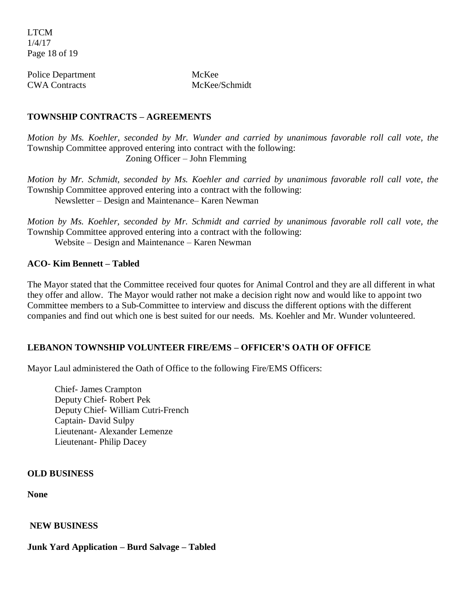LTCM 1/4/17 Page 18 of 19

Police Department McKee CWA Contracts McKee/Schmidt

## **TOWNSHIP CONTRACTS – AGREEMENTS**

*Motion by Ms. Koehler, seconded by Mr. Wunder and carried by unanimous favorable roll call vote, the* Township Committee approved entering into contract with the following: Zoning Officer – John Flemming

*Motion by Mr. Schmidt, seconded by Ms. Koehler and carried by unanimous favorable roll call vote, the* Township Committee approved entering into a contract with the following: Newsletter – Design and Maintenance– Karen Newman

*Motion by Ms. Koehler, seconded by Mr. Schmidt and carried by unanimous favorable roll call vote, the* Township Committee approved entering into a contract with the following: Website – Design and Maintenance – Karen Newman

## **ACO- Kim Bennett – Tabled**

The Mayor stated that the Committee received four quotes for Animal Control and they are all different in what they offer and allow. The Mayor would rather not make a decision right now and would like to appoint two Committee members to a Sub-Committee to interview and discuss the different options with the different companies and find out which one is best suited for our needs. Ms. Koehler and Mr. Wunder volunteered.

# **LEBANON TOWNSHIP VOLUNTEER FIRE/EMS – OFFICER'S OATH OF OFFICE**

Mayor Laul administered the Oath of Office to the following Fire/EMS Officers:

Chief- James Crampton Deputy Chief- Robert Pek Deputy Chief- William Cutri-French Captain- David Sulpy Lieutenant- Alexander Lemenze Lieutenant- Philip Dacey

#### **OLD BUSINESS**

**None**

**NEW BUSINESS**

**Junk Yard Application – Burd Salvage – Tabled**